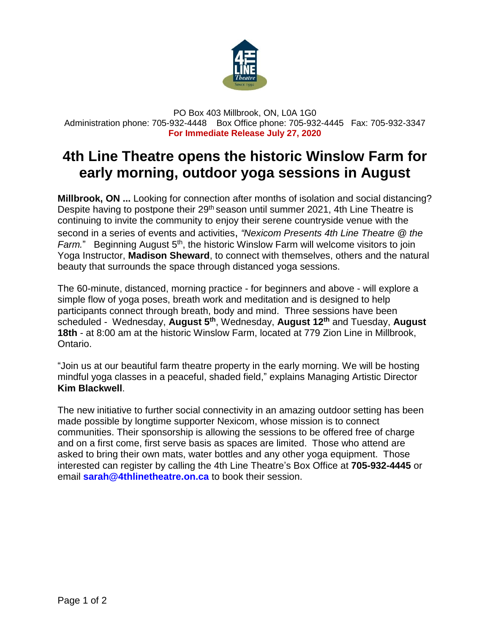

PO Box 403 Millbrook, ON, L0A 1G0 Administration phone: 705-932-4448 Box Office phone: 705-932-4445 Fax: 705-932-3347 **For Immediate Release July 27, 2020**

## **4th Line Theatre opens the historic Winslow Farm for early morning, outdoor yoga sessions in August**

**Millbrook, ON ...** Looking for connection after months of isolation and social distancing? Despite having to postpone their 29<sup>th</sup> season until summer 2021, 4th Line Theatre is continuing to invite the community to enjoy their serene countryside venue with the second in a series of events and activities, *"Nexicom Presents 4th Line Theatre @ the* Farm." Beginning August 5<sup>th</sup>, the historic Winslow Farm will welcome visitors to join Yoga Instructor, **Madison Sheward**, to connect with themselves, others and the natural beauty that surrounds the space through distanced yoga sessions.

The 60-minute, distanced, morning practice - for beginners and above - will explore a simple flow of yoga poses, breath work and meditation and is designed to help participants connect through breath, body and mind. Three sessions have been scheduled - Wednesday, **August 5 th** , Wednesday, **August 12th** and Tuesday, **August 18th** - at 8:00 am at the historic Winslow Farm, located at 779 Zion Line in Millbrook, Ontario.

"Join us at our beautiful farm theatre property in the early morning. We will be hosting mindful yoga classes in a peaceful, shaded field," explains Managing Artistic Director **Kim Blackwell**.

The new initiative to further social connectivity in an amazing outdoor setting has been made possible by longtime supporter Nexicom, whose mission is to connect communities. Their sponsorship is allowing the sessions to be offered free of charge and on a first come, first serve basis as spaces are limited. Those who attend are asked to bring their own mats, water bottles and any other yoga equipment. Those interested can register by calling the 4th Line Theatre's Box Office at **705-932-4445** or email **[sarah@4thlinetheatre.on.ca](mailto:sarah@4thlinetheatre.on.ca)** to book their session.